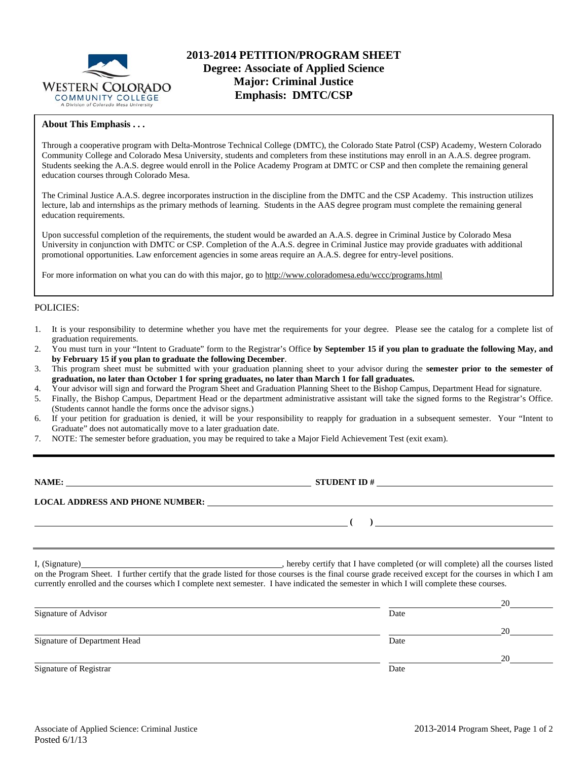

#### **About This Emphasis . . .**

Through a cooperative program with Delta-Montrose Technical College (DMTC), the Colorado State Patrol (CSP) Academy, Western Colorado Community College and Colorado Mesa University, students and completers from these institutions may enroll in an A.A.S. degree program. Students seeking the A.A.S. degree would enroll in the Police Academy Program at DMTC or CSP and then complete the remaining general education courses through Colorado Mesa.

The Criminal Justice A.A.S. degree incorporates instruction in the discipline from the DMTC and the CSP Academy. This instruction utilizes lecture, lab and internships as the primary methods of learning. Students in the AAS degree program must complete the remaining general education requirements.

Upon successful completion of the requirements, the student would be awarded an A.A.S. degree in Criminal Justice by Colorado Mesa University in conjunction with DMTC or CSP. Completion of the A.A.S. degree in Criminal Justice may provide graduates with additional promotional opportunities. Law enforcement agencies in some areas require an A.A.S. degree for entry-level positions.

For more information on what you can do with this major, go to http://www.coloradomesa.edu/wccc/programs.html

#### POLICIES:

- 1. It is your responsibility to determine whether you have met the requirements for your degree. Please see the catalog for a complete list of graduation requirements.
- 2. You must turn in your "Intent to Graduate" form to the Registrar's Office **by September 15 if you plan to graduate the following May, and by February 15 if you plan to graduate the following December**.
- 3. This program sheet must be submitted with your graduation planning sheet to your advisor during the **semester prior to the semester of graduation, no later than October 1 for spring graduates, no later than March 1 for fall graduates.**
- 4. Your advisor will sign and forward the Program Sheet and Graduation Planning Sheet to the Bishop Campus, Department Head for signature.
- 5. Finally, the Bishop Campus, Department Head or the department administrative assistant will take the signed forms to the Registrar's Office. (Students cannot handle the forms once the advisor signs.)
- 6. If your petition for graduation is denied, it will be your responsibility to reapply for graduation in a subsequent semester. Your "Intent to Graduate" does not automatically move to a later graduation date.
- 7. NOTE: The semester before graduation, you may be required to take a Major Field Achievement Test (exit exam).

| NAME:                                  | <b>STUDENT ID#</b> |
|----------------------------------------|--------------------|
| <b>LOCAL ADDRESS AND PHONE NUMBER:</b> |                    |
|                                        |                    |

I, (Signature) , hereby certify that I have completed (or will complete) all the courses listed on the Program Sheet. I further certify that the grade listed for those courses is the final course grade received except for the courses in which I am currently enrolled and the courses which I complete next semester. I have indicated the semester in which I will complete these courses.

|                              |      | 20 |
|------------------------------|------|----|
| Signature of Advisor         | Date |    |
|                              |      | 20 |
| Signature of Department Head | Date |    |
|                              |      | 20 |
| Signature of Registrar       | Date |    |